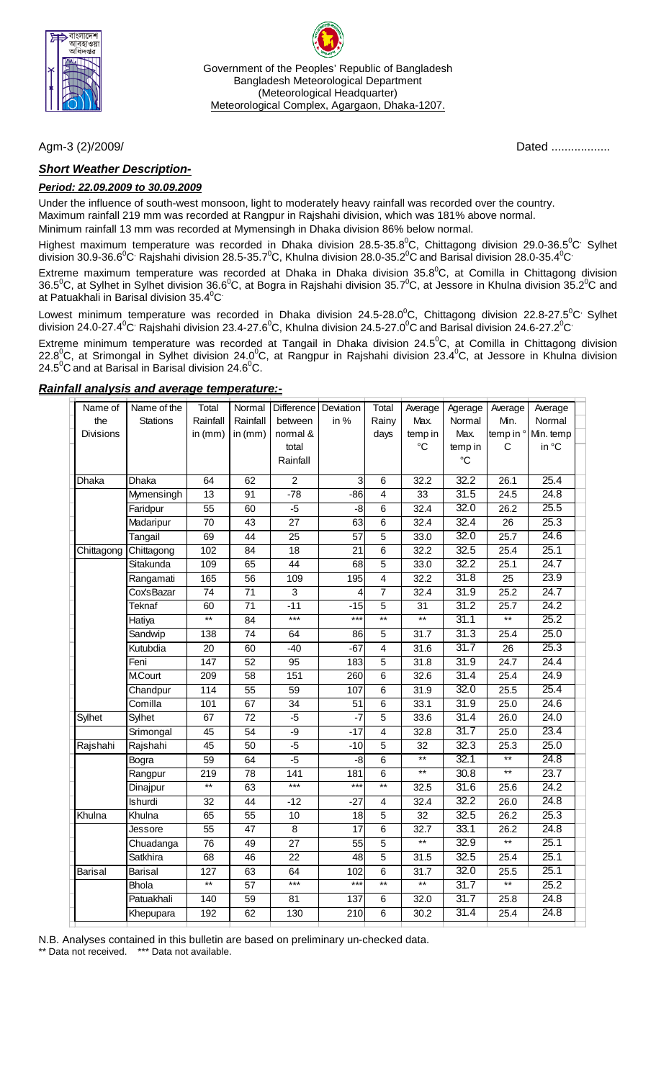

Government of the Peoples' Republic of Bangladesh Bangladesh Meteorological Department (Meteorological Headquarter) Meteorological Complex, Agargaon, Dhaka-1207.

### *Short Weather Description-*

#### *Period: 22.09.2009 to 30.09.2009*

Under the influence of south-west monsoon, light to moderately heavy rainfall was recorded over the country. Maximum rainfall 219 mm was recorded at Rangpur in Rajshahi division, which was 181% above normal. Minimum rainfall 13 mm was recorded at Mymensingh in Dhaka division 86% below normal.

Highest maximum temperature was recorded in Dhaka division 28.5-35.8<sup>0</sup>C, Chittagong division 29.0-36.5<sup>0</sup>C<sup>,</sup> Sylhet division 30.9-36.6 $^0$ C<sup>,</sup> Rajshahi division 28.5-35.7 $^0$ C, Khulna division 28.0-35.2 $^0$ C and Barisal division 28.0-35.4 $^0$ C $^{\circ}$ 

Extreme maximum temperature was recorded at Dhaka in Dhaka division 35.8 ${^0}C$ , at Comilla in Chittagong division 36.5<sup>o</sup>C, at Sylhet in Sylhet division 36.6<sup>o</sup>C, at Bogra in Rajshahi division 35.7<sup>o</sup>C, at Jessore in Khulna division 35.2<sup>o</sup>C and at Patuakhali in Barisal division 35.4 $\mathrm{^0C}$ 

Lowest minimum temperature was recorded in Dhaka division 24.5-28.0<sup>°</sup>C, Chittagong division 22.8-27.5<sup>°</sup>C<sup>,</sup> Sylhet division 24.0-27.4 $^0$ C<sup>,</sup> Rajshahi division 23.4-27.6 $^0$ C, Khulna division 24.5-27.0 $^0$ C and Barisal division 24.6-27.2 $^0$ C $^{\cdot}$ 

Extreme minimum temperature was recorded at Tangail in Dhaka division 24.5<sup>o</sup>C, at Comilla in Chittagong division 22.8<sup>0</sup>C, at Srimongal in Sylhet division 24.0<sup>0</sup>C, at Rangpur in Rajshahi division 23.4<sup>0</sup>C, at Jessore in Khulna division 24.5 $\mathrm{^0C}$  and at Barisal in Barisal division 24.6 $\mathrm{^0C}$ .

| Name of          | Name of the    | Total           | Normal          | Difference       | Deviation       | Total           | Average           | Agerage         | Average           | Average   |  |
|------------------|----------------|-----------------|-----------------|------------------|-----------------|-----------------|-------------------|-----------------|-------------------|-----------|--|
| the              | Stations       | Rainfall        | Rainfall        | between          | in %            | Rainy           | Max.              | Normal          | Min.              | Normal    |  |
| <b>Divisions</b> |                | in $(mm)$       | in $(mm)$       | normal &         |                 | days            | temp in           | Max.            | temp in °         | Min. temp |  |
|                  |                |                 |                 | total            |                 |                 | $^{\circ}C$       | temp in         | С                 | in °C     |  |
|                  |                |                 |                 | Rainfall         |                 |                 |                   | $\rm ^{\circ}C$ |                   |           |  |
| Dhaka            | Dhaka          | 64              | 62              | $\overline{2}$   | 3               | $\overline{6}$  | 32.2              | 32.2            | 26.1              | 25.4      |  |
|                  | Mymensingh     | $\overline{13}$ | $\overline{91}$ | $-78$            | $-86$           | $\overline{4}$  | 33                | 31.5            | $\overline{24.5}$ | 24.8      |  |
|                  | Faridpur       | 55              | 60              | $-5$             | $-8$            | $\,6$           | 32.4              | 32.0            | 26.2              | 25.5      |  |
|                  | Madaripur      | $\overline{70}$ | 43              | $\overline{27}$  | 63              | $\overline{6}$  | 32.4              | 32.4            | $\overline{26}$   | 25.3      |  |
|                  | Tangail        | 69              | $\overline{44}$ | $\overline{25}$  | 57              | $\overline{5}$  | 33.0              | 32.0            | 25.7              | 24.6      |  |
| Chittagong       | Chittagong     | 102             | 84              | $\overline{18}$  | $\overline{21}$ | $\overline{6}$  | 32.2              | 32.5            | 25.4              | 25.1      |  |
|                  | Sitakunda      | 109             | 65              | $\overline{44}$  | 68              | $\overline{5}$  | 33.0              | 32.2            | 25.1              | 24.7      |  |
|                  | Rangamati      | 165             | $\overline{56}$ | 109              | 195             | $\overline{4}$  | 32.2              | 31.8            | $\overline{25}$   | 23.9      |  |
|                  | Cox'sBazar     | $\overline{74}$ | 71              | 3                | 4               | $\overline{7}$  | 32.4              | 31.9            | 25.2              | 24.7      |  |
|                  | Teknaf         | 60              | 71              | $-11$            | $-15$           | 5               | 31                | 31.2            | 25.7              | 24.2      |  |
|                  | Hatiya         | $**$            | 84              | $***$            | $***$           | $\star\star$    | $^{\star\star}$   | 31.1            | $**$              | 25.2      |  |
|                  | Sandwip        | 138             | 74              | 64               | 86              | $\overline{5}$  | 31.7              | 31.3            | 25.4              | 25.0      |  |
|                  | Kutubdia       | 20              | 60              | $-40$            | $-67$           | $\overline{4}$  | 31.6              | 31.7            | $\overline{26}$   | 25.3      |  |
|                  | Feni           | 147             | 52              | 95               | 183             | 5               | $\overline{31.8}$ | 31.9            | 24.7              | 24.4      |  |
|                  | <b>M.Court</b> | 209             | 58              | 151              | 260             | $6\phantom{1}$  | 32.6              | 31.4            | 25.4              | 24.9      |  |
|                  | Chandpur       | 114             | $\overline{55}$ | $\overline{59}$  | 107             | $\overline{6}$  | 31.9              | 32.0            | 25.5              | 25.4      |  |
|                  | Comilla        | 101             | 67              | 34               | $\overline{51}$ | $\overline{6}$  | 33.1              | 31.9            | 25.0              | 24.6      |  |
| Sylhet           | Sylhet         | 67              | 72              | $-5$             | $-7$            | 5               | 33.6              | 31.4            | 26.0              | 24.0      |  |
|                  | Srimongal      | 45              | $\overline{54}$ | $-9$             | $-17$           | $\overline{4}$  | 32.8              | 31.7            | 25.0              | 23.4      |  |
| Rajshahi         | Rajshahi       | 45              | 50              | $-5$             | $-10$           | $\overline{5}$  | 32                | 32.3            | 25.3              | 25.0      |  |
|                  | Bogra          | 59              | 64              | $-5$             | -8              | 6               | $***$             | 32.1            | $**$              | 24.8      |  |
|                  | Rangpur        | 219             | 78              | $\overline{141}$ | 181             | $\overline{6}$  | $\overline{**}$   | 30.8            | $\overline{**}$   | 23.7      |  |
|                  | Dinajpur       | $\star\star$    | 63              | $***$            | $***$           | $**$            | 32.5              | 31.6            | 25.6              | 24.2      |  |
|                  | Ishurdi        | 32              | 44              | $-12$            | $-27$           | $\overline{4}$  | 32.4              | 32.2            | 26.0              | 24.8      |  |
| Khulna           | Khulna         | 65              | $\overline{55}$ | 10               | $\overline{18}$ | $\overline{5}$  | $\overline{32}$   | 32.5            | 26.2              | 25.3      |  |
|                  | Jessore        | $\overline{55}$ | $\overline{47}$ | $\overline{8}$   | $\overline{17}$ | $\overline{6}$  | 32.7              | 33.1            | 26.2              | 24.8      |  |
|                  | Chuadanga      | $\overline{76}$ | 49              | $\overline{27}$  | $\overline{55}$ | $\overline{5}$  | $**$              | 32.9            | $^{\star\star}$   | 25.1      |  |
|                  | Satkhira       | 68              | 46              | 22               | 48              | 5               | 31.5              | 32.5            | 25.4              | 25.1      |  |
| <b>Barisal</b>   | Barisal        | 127             | 63              | 64               | 102             | $\overline{6}$  | $\overline{31.7}$ | 32.0            | 25.5              | 25.1      |  |
|                  | <b>Bhola</b>   | $***$           | $\overline{57}$ | $***$            | $***$           | $\overline{**}$ | $\overline{**}$   | 31.7            | $***$             | 25.2      |  |
|                  | Patuakhali     | 140             | 59              | 81               | 137             | 6               | 32.0              | 31.7            | 25.8              | 24.8      |  |
|                  | Khepupara      | 192             | 62              | 130              | 210             | $6\phantom{1}$  | 30.2              | 31.4            | 25.4              | 24.8      |  |
|                  |                |                 |                 |                  |                 |                 |                   |                 |                   |           |  |

#### *Rainfall analysis and average temperature:-*

N.B. Analyses contained in this bulletin are based on preliminary un-checked data.

\*\* Data not received. \*\*\* Data not available.

Agm-3 (2)/2009/*Dated ................*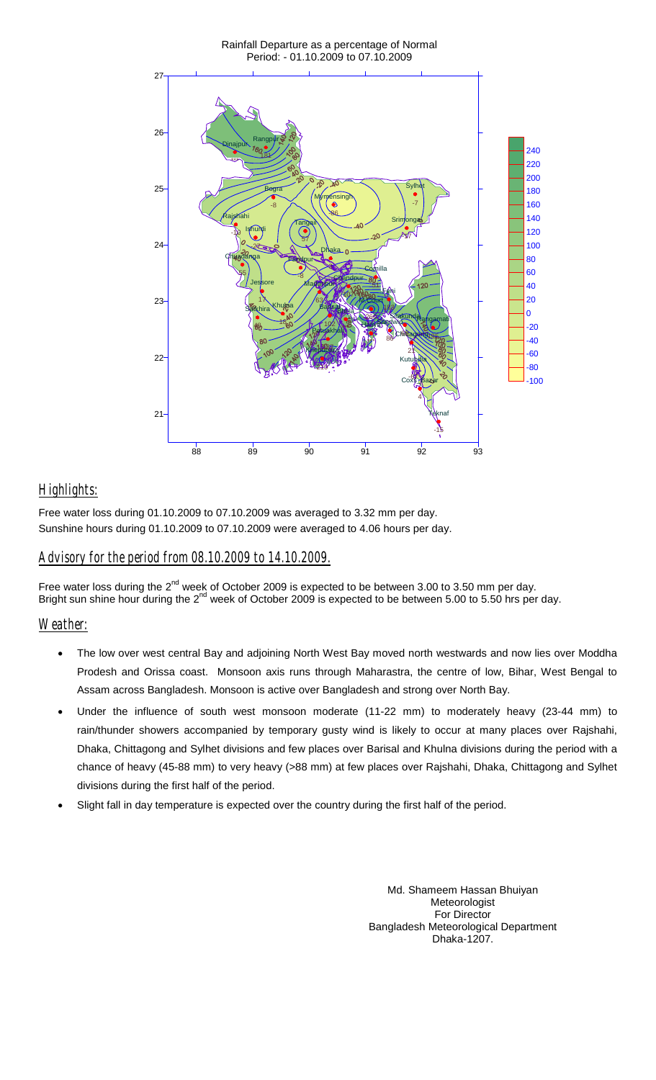

# *Highlights:*

Free water loss during 01.10.2009 to 07.10.2009 was averaged to 3.32 mm per day. Sunshine hours during 01.10.2009 to 07.10.2009 were averaged to 4.06 hours per day.

## *Advisory for the period from 08.10.2009 to 14.10.2009.*

Free water loss during the 2<sup>nd</sup> week of October 2009 is expected to be between 3.00 to 3.50 mm per day. Bright sun shine hour during the 2<sup>nd</sup> week of October 2009 is expected to be between 5.00 to 5.50 hrs per day.

## *Weather:*

- The low over west central Bay and adjoining North West Bay moved north westwards and now lies over Moddha Prodesh and Orissa coast. Monsoon axis runs through Maharastra, the centre of low, Bihar, West Bengal to Assam across Bangladesh. Monsoon is active over Bangladesh and strong over North Bay.
- Under the influence of south west monsoon moderate (11-22 mm) to moderately heavy (23-44 mm) to rain/thunder showers accompanied by temporary gusty wind is likely to occur at many places over Rajshahi, Dhaka, Chittagong and Sylhet divisions and few places over Barisal and Khulna divisions during the period with a chance of heavy (45-88 mm) to very heavy (>88 mm) at few places over Rajshahi, Dhaka, Chittagong and Sylhet divisions during the first half of the period.
- Slight fall in day temperature is expected over the country during the first half of the period.

Md. Shameem Hassan Bhuiyan Meteorologist For Director Bangladesh Meteorological Department Dhaka-1207.